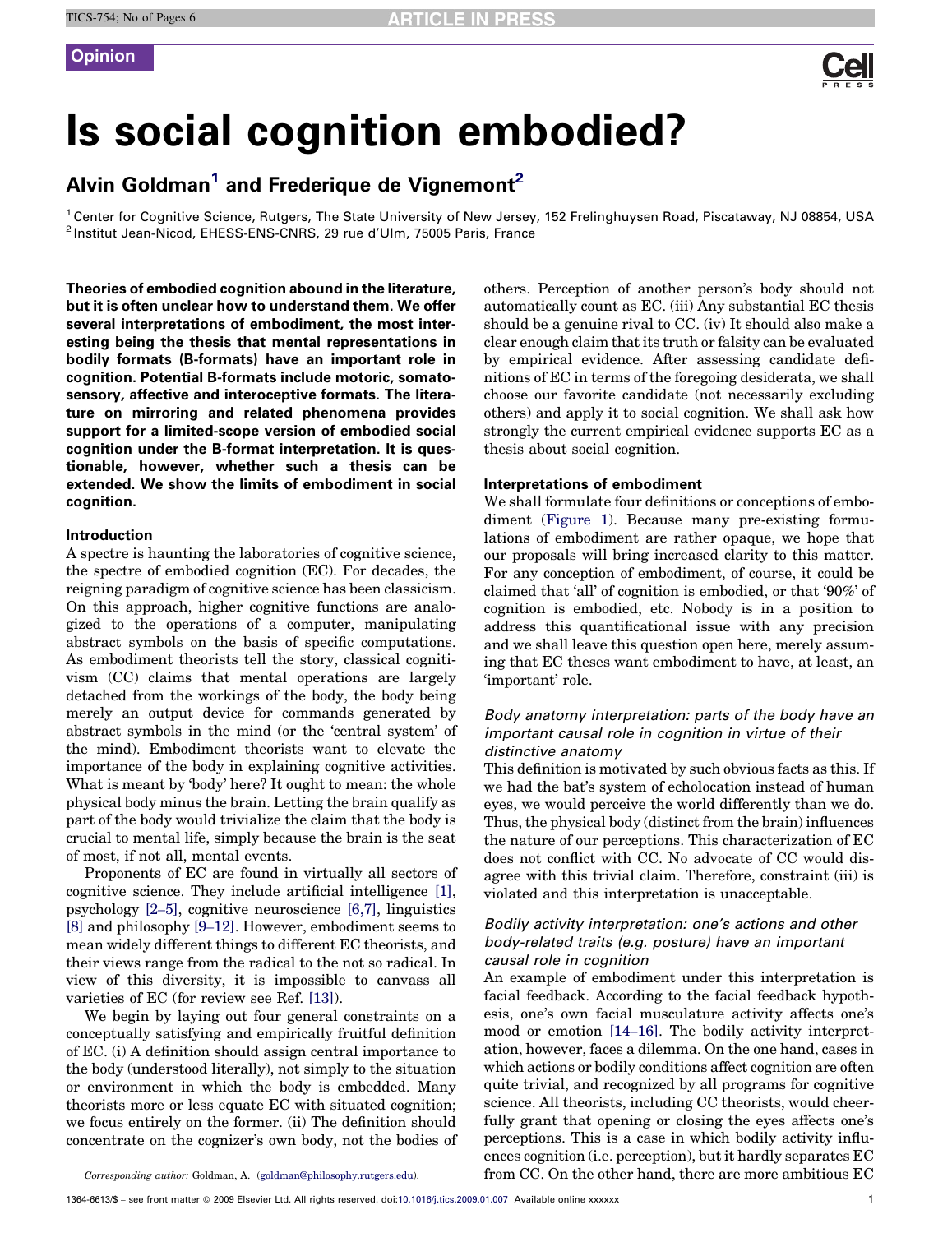

# Is social cognition embodied?

# Alvin Goldman<sup>1</sup> and Frederique de Vignemont<sup>2</sup>

<sup>1</sup>Center for Cognitive Science, Rutgers, The State University of New Jersey, 152 Frelinghuysen Road, Piscataway, NJ 08854, USA <sup>2</sup> Institut Jean-Nicod, EHESS-ENS-CNRS, 29 rue d'Ulm, 75005 Paris, France

Theories of embodied cognition abound in the literature, but it is often unclear how to understand them. We offer several interpretations of embodiment, the most interesting being the thesis that mental representations in bodily formats (B-formats) have an important role in cognition. Potential B-formats include motoric, somatosensory, affective and interoceptive formats. The literature on mirroring and related phenomena provides support for a limited-scope version of embodied social cognition under the B-format interpretation. It is questionable, however, whether such a thesis can be extended. We show the limits of embodiment in social cognition.

#### Introduction

A spectre is haunting the laboratories of cognitive science, the spectre of embodied cognition (EC). For decades, the reigning paradigm of cognitive science has been classicism. On this approach, higher cognitive functions are analogized to the operations of a computer, manipulating abstract symbols on the basis of specific computations. As embodiment theorists tell the story, classical cognitivism (CC) claims that mental operations are largely detached from the workings of the body, the body being merely an output device for commands generated by abstract symbols in the mind (or the 'central system' of the mind). Embodiment theorists want to elevate the importance of the body in explaining cognitive activities. What is meant by 'body' here? It ought to mean: the whole physical body minus the brain. Letting the brain qualify as part of the body would trivialize the claim that the body is crucial to mental life, simply because the brain is the seat of most, if not all, mental events.

Proponents of EC are found in virtually all sectors of cognitive science. They include artificial intelligence [\[1\]](#page-4-0), psychology [2–[5\],](#page-4-0) cognitive neuroscience [\[6,7\]](#page-4-0), linguistics [\[8\]](#page-4-0) and philosophy [9–[12\]](#page-4-0). However, embodiment seems to mean widely different things to different EC theorists, and their views range from the radical to the not so radical. In view of this diversity, it is impossible to canvass all varieties of EC (for review see Ref. [\[13\]](#page-4-0)).

We begin by laying out four general constraints on a conceptually satisfying and empirically fruitful definition of EC. (i) A definition should assign central importance to the body (understood literally), not simply to the situation or environment in which the body is embedded. Many theorists more or less equate EC with situated cognition; we focus entirely on the former. (ii) The definition should concentrate on the cognizer's own body, not the bodies of

others. Perception of another person's body should not automatically count as EC. (iii) Any substantial EC thesis should be a genuine rival to CC. (iv) It should also make a clear enough claim that its truth or falsity can be evaluated by empirical evidence. After assessing candidate definitions of EC in terms of the foregoing desiderata, we shall choose our favorite candidate (not necessarily excluding others) and apply it to social cognition. We shall ask how strongly the current empirical evidence supports EC as a thesis about social cognition.

#### Interpretations of embodiment

We shall formulate four definitions or conceptions of embodiment [\(Figure 1\)](#page-1-0). Because many pre-existing formulations of embodiment are rather opaque, we hope that our proposals will bring increased clarity to this matter. For any conception of embodiment, of course, it could be claimed that 'all' of cognition is embodied, or that '90%' of cognition is embodied, etc. Nobody is in a position to address this quantificational issue with any precision and we shall leave this question open here, merely assuming that EC theses want embodiment to have, at least, an 'important' role.

### Body anatomy interpretation: parts of the body have an important causal role in cognition in virtue of their distinctive anatomy

This definition is motivated by such obvious facts as this. If we had the bat's system of echolocation instead of human eyes, we would perceive the world differently than we do. Thus, the physical body (distinct from the brain) influences the nature of our perceptions. This characterization of EC does not conflict with CC. No advocate of CC would disagree with this trivial claim. Therefore, constraint (iii) is violated and this interpretation is unacceptable.

### Bodily activity interpretation: one's actions and other body-related traits (e.g. posture) have an important causal role in cognition

An example of embodiment under this interpretation is facial feedback. According to the facial feedback hypothesis, one's own facial musculature activity affects one's mood or emotion [14–[16\].](#page-4-0) The bodily activity interpretation, however, faces a dilemma. On the one hand, cases in which actions or bodily conditions affect cognition are often quite trivial, and recognized by all programs for cognitive science. All theorists, including CC theorists, would cheerfully grant that opening or closing the eyes affects one's perceptions. This is a case in which bodily activity influences cognition (i.e. perception), but it hardly separates EC from CC. On the other hand, there are more ambitious EC

Corresponding author: Goldman, A. ([goldman@philosophy.rutgers.edu\)](mailto:goldman@philosophy.rutgers.edu).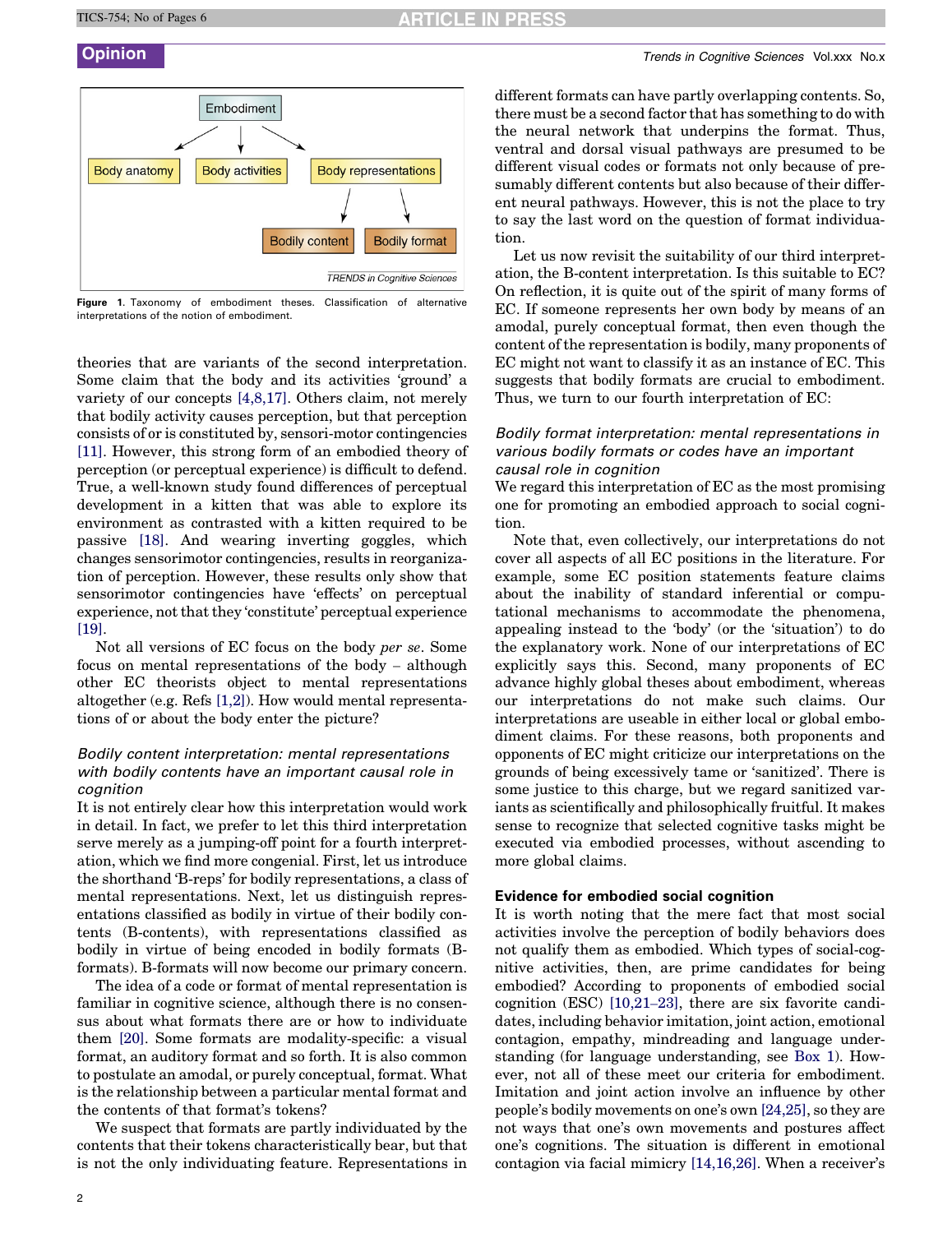## **RTICLE IN PRESS**

<span id="page-1-0"></span>

Figure 1. Taxonomy of embodiment theses. Classification of alternative interpretations of the notion of embodiment.

theories that are variants of the second interpretation. Some claim that the body and its activities 'ground' a variety of our concepts [\[4,8,17\].](#page-4-0) Others claim, not merely that bodily activity causes perception, but that perception consists of or is constituted by, sensori-motor contingencies [\[11\]](#page-4-0). However, this strong form of an embodied theory of perception (or perceptual experience) is difficult to defend. True, a well-known study found differences of perceptual development in a kitten that was able to explore its environment as contrasted with a kitten required to be passive [\[18\].](#page-4-0) And wearing inverting goggles, which changes sensorimotor contingencies, results in reorganization of perception. However, these results only show that sensorimotor contingencies have 'effects' on perceptual experience, not that they 'constitute' perceptual experience [\[19\]](#page-4-0).

Not all versions of EC focus on the body per se. Some focus on mental representations of the body – although other EC theorists object to mental representations altogether (e.g. Refs [\[1,2\]](#page-4-0)). How would mental representations of or about the body enter the picture?

### Bodily content interpretation: mental representations with bodily contents have an important causal role in cognition

It is not entirely clear how this interpretation would work in detail. In fact, we prefer to let this third interpretation serve merely as a jumping-off point for a fourth interpretation, which we find more congenial. First, let us introduce the shorthand 'B-reps' for bodily representations, a class of mental representations. Next, let us distinguish representations classified as bodily in virtue of their bodily contents (B-contents), with representations classified as bodily in virtue of being encoded in bodily formats (Bformats). B-formats will now become our primary concern.

The idea of a code or format of mental representation is familiar in cognitive science, although there is no consensus about what formats there are or how to individuate them [\[20\]](#page-4-0). Some formats are modality-specific: a visual format, an auditory format and so forth. It is also common to postulate an amodal, or purely conceptual, format. What is the relationship between a particular mental format and the contents of that format's tokens?

We suspect that formats are partly individuated by the contents that their tokens characteristically bear, but that is not the only individuating feature. Representations in different formats can have partly overlapping contents. So, there must be a second factor that has something to do with the neural network that underpins the format. Thus, ventral and dorsal visual pathways are presumed to be different visual codes or formats not only because of presumably different contents but also because of their different neural pathways. However, this is not the place to try to say the last word on the question of format individuation.

Let us now revisit the suitability of our third interpretation, the B-content interpretation. Is this suitable to EC? On reflection, it is quite out of the spirit of many forms of EC. If someone represents her own body by means of an amodal, purely conceptual format, then even though the content of the representation is bodily, many proponents of EC might not want to classify it as an instance of EC. This suggests that bodily formats are crucial to embodiment. Thus, we turn to our fourth interpretation of EC:

### Bodily format interpretation: mental representations in various bodily formats or codes have an important causal role in cognition

We regard this interpretation of EC as the most promising one for promoting an embodied approach to social cognition.

Note that, even collectively, our interpretations do not cover all aspects of all EC positions in the literature. For example, some EC position statements feature claims about the inability of standard inferential or computational mechanisms to accommodate the phenomena, appealing instead to the 'body' (or the 'situation') to do the explanatory work. None of our interpretations of EC explicitly says this. Second, many proponents of EC advance highly global theses about embodiment, whereas our interpretations do not make such claims. Our interpretations are useable in either local or global embodiment claims. For these reasons, both proponents and opponents of EC might criticize our interpretations on the grounds of being excessively tame or 'sanitized'. There is some justice to this charge, but we regard sanitized variants as scientifically and philosophically fruitful. It makes sense to recognize that selected cognitive tasks might be executed via embodied processes, without ascending to more global claims.

### Evidence for embodied social cognition

It is worth noting that the mere fact that most social activities involve the perception of bodily behaviors does not qualify them as embodied. Which types of social-cognitive activities, then, are prime candidates for being embodied? According to proponents of embodied social cognition (ESC) [\[10,21](#page-4-0)–23], there are six favorite candidates, including behavior imitation, joint action, emotional contagion, empathy, mindreading and language understanding (for language understanding, see [Box 1](#page-2-0)). However, not all of these meet our criteria for embodiment. Imitation and joint action involve an influence by other people's bodily movements on one's own [\[24,25\]](#page-4-0), so they are not ways that one's own movements and postures affect one's cognitions. The situation is different in emotional contagion via facial mimicry [\[14,16,26\]](#page-4-0). When a receiver's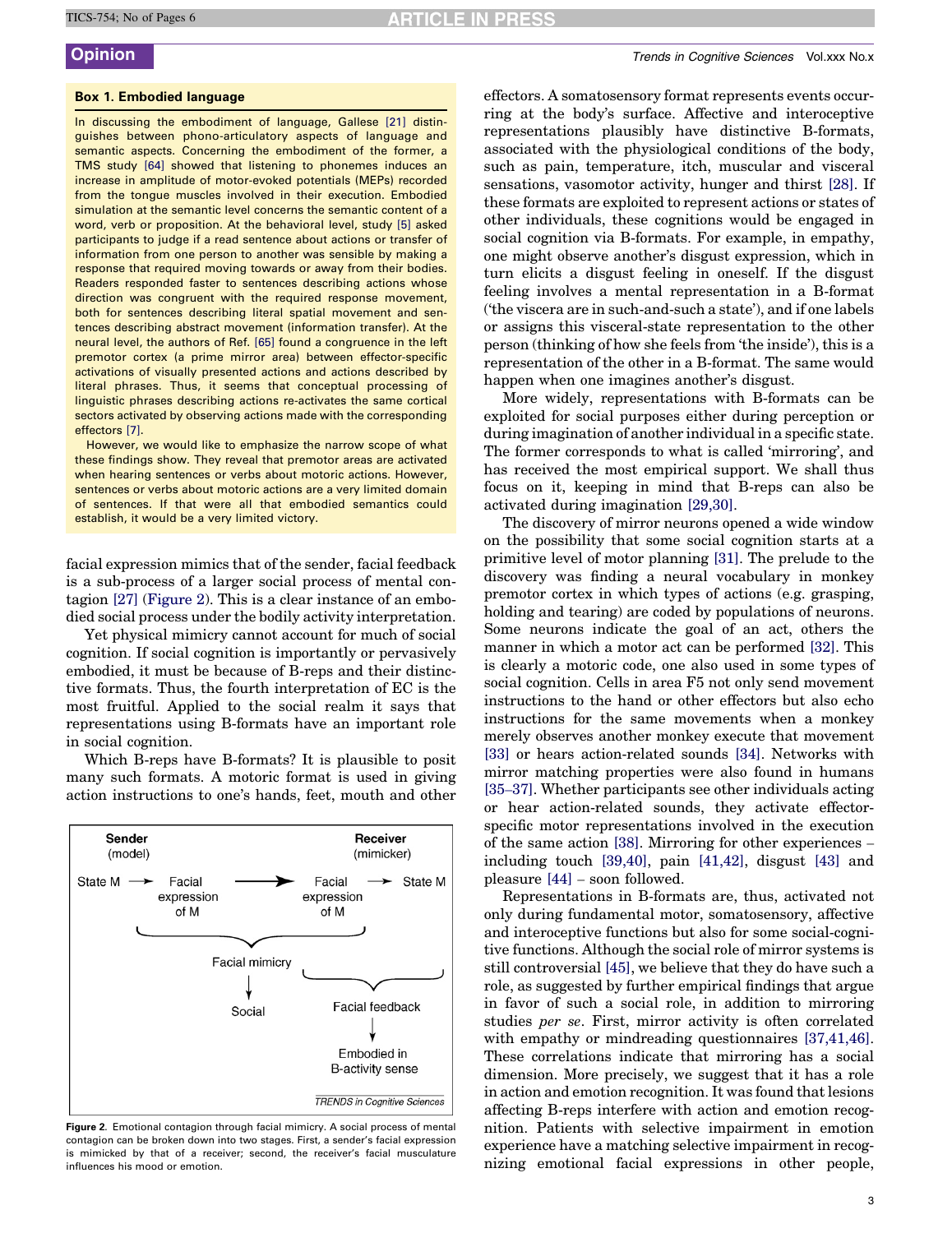#### <span id="page-2-0"></span>Box 1. Embodied language

In discussing the embodiment of language, Gallese [\[21\]](#page-4-0) distinguishes between phono-articulatory aspects of language and semantic aspects. Concerning the embodiment of the former, a TMS study [\[64\]](#page-5-0) showed that listening to phonemes induces an increase in amplitude of motor-evoked potentials (MEPs) recorded from the tongue muscles involved in their execution. Embodied simulation at the semantic level concerns the semantic content of a word, verb or proposition. At the behavioral level, study [\[5\]](#page-4-0) asked participants to judge if a read sentence about actions or transfer of information from one person to another was sensible by making a response that required moving towards or away from their bodies. Readers responded faster to sentences describing actions whose direction was congruent with the required response movement, both for sentences describing literal spatial movement and sentences describing abstract movement (information transfer). At the neural level, the authors of Ref. [\[65\]](#page-5-0) found a congruence in the left premotor cortex (a prime mirror area) between effector-specific activations of visually presented actions and actions described by literal phrases. Thus, it seems that conceptual processing of linguistic phrases describing actions re-activates the same cortical sectors activated by observing actions made with the corresponding effectors [\[7\]](#page-4-0).

However, we would like to emphasize the narrow scope of what these findings show. They reveal that premotor areas are activated when hearing sentences or verbs about motoric actions. However, sentences or verbs about motoric actions are a very limited domain of sentences. If that were all that embodied semantics could establish, it would be a very limited victory.

facial expression mimics that of the sender, facial feedback is a sub-process of a larger social process of mental contagion [\[27\]](#page-4-0) (Figure 2). This is a clear instance of an embodied social process under the bodily activity interpretation.

Yet physical mimicry cannot account for much of social cognition. If social cognition is importantly or pervasively embodied, it must be because of B-reps and their distinctive formats. Thus, the fourth interpretation of EC is the most fruitful. Applied to the social realm it says that representations using B-formats have an important role in social cognition.

Which B-reps have B-formats? It is plausible to posit many such formats. A motoric format is used in giving action instructions to one's hands, feet, mouth and other



Figure 2. Emotional contagion through facial mimicry. A social process of mental contagion can be broken down into two stages. First, a sender's facial expression is mimicked by that of a receiver; second, the receiver's facial musculature influences his mood or emotion.

effectors. A somatosensory format represents events occurring at the body's surface. Affective and interoceptive representations plausibly have distinctive B-formats, associated with the physiological conditions of the body, such as pain, temperature, itch, muscular and visceral sensations, vasomotor activity, hunger and thirst [\[28\].](#page-4-0) If these formats are exploited to represent actions or states of other individuals, these cognitions would be engaged in social cognition via B-formats. For example, in empathy, one might observe another's disgust expression, which in turn elicits a disgust feeling in oneself. If the disgust feeling involves a mental representation in a B-format ('the viscera are in such-and-such a state'), and if one labels or assigns this visceral-state representation to the other person (thinking of how she feels from 'the inside'), this is a representation of the other in a B-format. The same would happen when one imagines another's disgust.

More widely, representations with B-formats can be exploited for social purposes either during perception or during imagination of another individual in a specific state. The former corresponds to what is called 'mirroring', and has received the most empirical support. We shall thus focus on it, keeping in mind that B-reps can also be activated during imagination [\[29,30\]](#page-4-0).

The discovery of mirror neurons opened a wide window on the possibility that some social cognition starts at a primitive level of motor planning [\[31\].](#page-5-0) The prelude to the discovery was finding a neural vocabulary in monkey premotor cortex in which types of actions (e.g. grasping, holding and tearing) are coded by populations of neurons. Some neurons indicate the goal of an act, others the manner in which a motor act can be performed [\[32\].](#page-5-0) This is clearly a motoric code, one also used in some types of social cognition. Cells in area F5 not only send movement instructions to the hand or other effectors but also echo instructions for the same movements when a monkey merely observes another monkey execute that movement [\[33\]](#page-5-0) or hears action-related sounds [\[34\].](#page-5-0) Networks with mirror matching properties were also found in humans [35–[37\]](#page-5-0). Whether participants see other individuals acting or hear action-related sounds, they activate effectorspecific motor representations involved in the execution of the same action [\[38\]](#page-5-0). Mirroring for other experiences – including touch [\[39,40\],](#page-5-0) pain [\[41,42\]](#page-5-0), disgust [\[43\]](#page-5-0) and pleasure [\[44\]](#page-5-0) – soon followed.

Representations in B-formats are, thus, activated not only during fundamental motor, somatosensory, affective and interoceptive functions but also for some social-cognitive functions. Although the social role of mirror systems is still controversial [\[45\],](#page-5-0) we believe that they do have such a role, as suggested by further empirical findings that argue in favor of such a social role, in addition to mirroring studies per se. First, mirror activity is often correlated with empathy or mindreading questionnaires [\[37,41,46\]](#page-5-0). These correlations indicate that mirroring has a social dimension. More precisely, we suggest that it has a role in action and emotion recognition. It was found that lesions affecting B-reps interfere with action and emotion recognition. Patients with selective impairment in emotion experience have a matching selective impairment in recognizing emotional facial expressions in other people,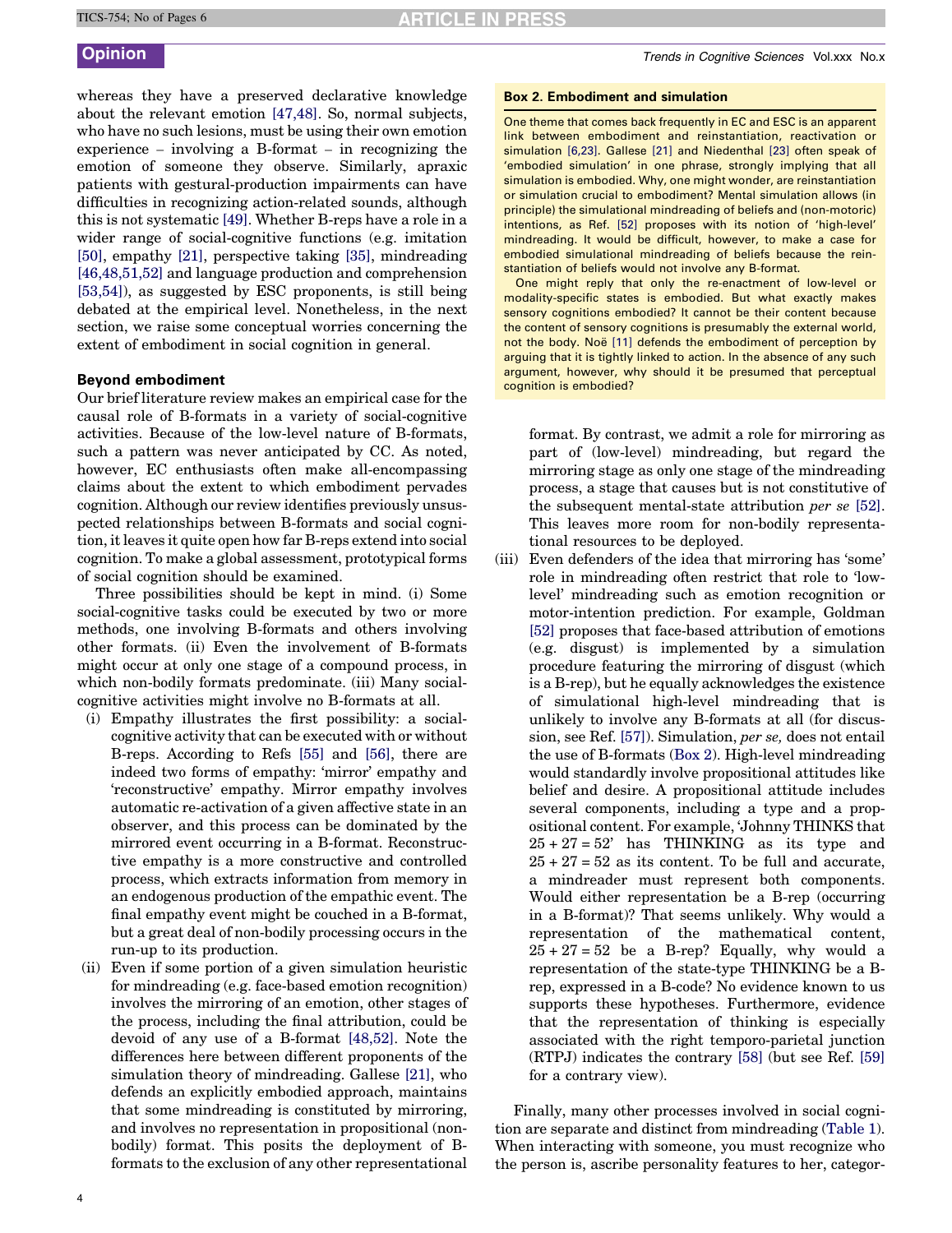whereas they have a preserved declarative knowledge about the relevant emotion [\[47,48\].](#page-5-0) So, normal subjects, who have no such lesions, must be using their own emotion experience – involving a B-format – in recognizing the emotion of someone they observe. Similarly, apraxic patients with gestural-production impairments can have difficulties in recognizing action-related sounds, although this is not systematic [\[49\].](#page-5-0) Whether B-reps have a role in a wider range of social-cognitive functions (e.g. imitation [\[50\]](#page-5-0), empathy [\[21\],](#page-4-0) perspective taking [\[35\],](#page-5-0) mindreading [\[46,48,51,52\]](#page-5-0) and language production and comprehension [\[53,54\]](#page-5-0)), as suggested by ESC proponents, is still being debated at the empirical level. Nonetheless, in the next section, we raise some conceptual worries concerning the extent of embodiment in social cognition in general.

#### Beyond embodiment

Our brief literature review makes an empirical case for the causal role of B-formats in a variety of social-cognitive activities. Because of the low-level nature of B-formats, such a pattern was never anticipated by CC. As noted, however, EC enthusiasts often make all-encompassing claims about the extent to which embodiment pervades cognition. Although our review identifies previously unsuspected relationships between B-formats and social cognition, it leaves it quite open how far B-reps extend into social cognition. To make a global assessment, prototypical forms of social cognition should be examined.

Three possibilities should be kept in mind. (i) Some social-cognitive tasks could be executed by two or more methods, one involving B-formats and others involving other formats. (ii) Even the involvement of B-formats might occur at only one stage of a compound process, in which non-bodily formats predominate. (iii) Many socialcognitive activities might involve no B-formats at all.

- (i) Empathy illustrates the first possibility: a socialcognitive activity that can be executed with or without B-reps. According to Refs [\[55\]](#page-5-0) and [\[56\]](#page-5-0), there are indeed two forms of empathy: 'mirror' empathy and 'reconstructive' empathy. Mirror empathy involves automatic re-activation of a given affective state in an observer, and this process can be dominated by the mirrored event occurring in a B-format. Reconstructive empathy is a more constructive and controlled process, which extracts information from memory in an endogenous production of the empathic event. The final empathy event might be couched in a B-format, but a great deal of non-bodily processing occurs in the run-up to its production.
- (ii) Even if some portion of a given simulation heuristic for mindreading (e.g. face-based emotion recognition) involves the mirroring of an emotion, other stages of the process, including the final attribution, could be devoid of any use of a B-format [\[48,52\].](#page-5-0) Note the differences here between different proponents of the simulation theory of mindreading. Gallese [\[21\]](#page-4-0), who defends an explicitly embodied approach, maintains that some mindreading is constituted by mirroring, and involves no representation in propositional (nonbodily) format. This posits the deployment of Bformats to the exclusion of any other representational

#### Box 2. Embodiment and simulation

One theme that comes back frequently in EC and ESC is an apparent link between embodiment and reinstantiation, reactivation or simulation [\[6,23\].](#page-4-0) Gallese [\[21\]](#page-4-0) and Niedenthal [\[23\]](#page-4-0) often speak of 'embodied simulation' in one phrase, strongly implying that all simulation is embodied. Why, one might wonder, are reinstantiation or simulation crucial to embodiment? Mental simulation allows (in principle) the simulational mindreading of beliefs and (non-motoric) intentions, as Ref. [\[52\]](#page-5-0) proposes with its notion of 'high-level' mindreading. It would be difficult, however, to make a case for embodied simulational mindreading of beliefs because the reinstantiation of beliefs would not involve any B-format.

One might reply that only the re-enactment of low-level or modality-specific states is embodied. But what exactly makes sensory cognitions embodied? It cannot be their content because the content of sensory cognitions is presumably the external world, not the body. Noë [\[11\]](#page-4-0) defends the embodiment of perception by arguing that it is tightly linked to action. In the absence of any such argument, however, why should it be presumed that perceptual cognition is embodied?

format. By contrast, we admit a role for mirroring as part of (low-level) mindreading, but regard the mirroring stage as only one stage of the mindreading process, a stage that causes but is not constitutive of the subsequent mental-state attribution per se [\[52\]](#page-5-0). This leaves more room for non-bodily representational resources to be deployed.

(iii) Even defenders of the idea that mirroring has 'some' role in mindreading often restrict that role to 'lowlevel' mindreading such as emotion recognition or motor-intention prediction. For example, Goldman [\[52\]](#page-5-0) proposes that face-based attribution of emotions (e.g. disgust) is implemented by a simulation procedure featuring the mirroring of disgust (which is a B-rep), but he equally acknowledges the existence of simulational high-level mindreading that is unlikely to involve any B-formats at all (for discussion, see Ref. [\[57\]\)](#page-5-0). Simulation, per se, does not entail the use of B-formats (Box 2). High-level mindreading would standardly involve propositional attitudes like belief and desire. A propositional attitude includes several components, including a type and a propositional content. For example, 'Johnny THINKS that  $25 + 27 = 52$  has THINKING as its type and  $25 + 27 = 52$  as its content. To be full and accurate, a mindreader must represent both components. Would either representation be a B-rep (occurring in a B-format)? That seems unlikely. Why would a representation of the mathematical content,  $25 + 27 = 52$  be a B-rep? Equally, why would a representation of the state-type THINKING be a Brep, expressed in a B-code? No evidence known to us supports these hypotheses. Furthermore, evidence that the representation of thinking is especially associated with the right temporo-parietal junction (RTPJ) indicates the contrary [\[58\]](#page-5-0) (but see Ref. [\[59\]](#page-5-0) for a contrary view).

Finally, many other processes involved in social cognition are separate and distinct from mindreading ([Table 1](#page-4-0)). When interacting with someone, you must recognize who the person is, ascribe personality features to her, categor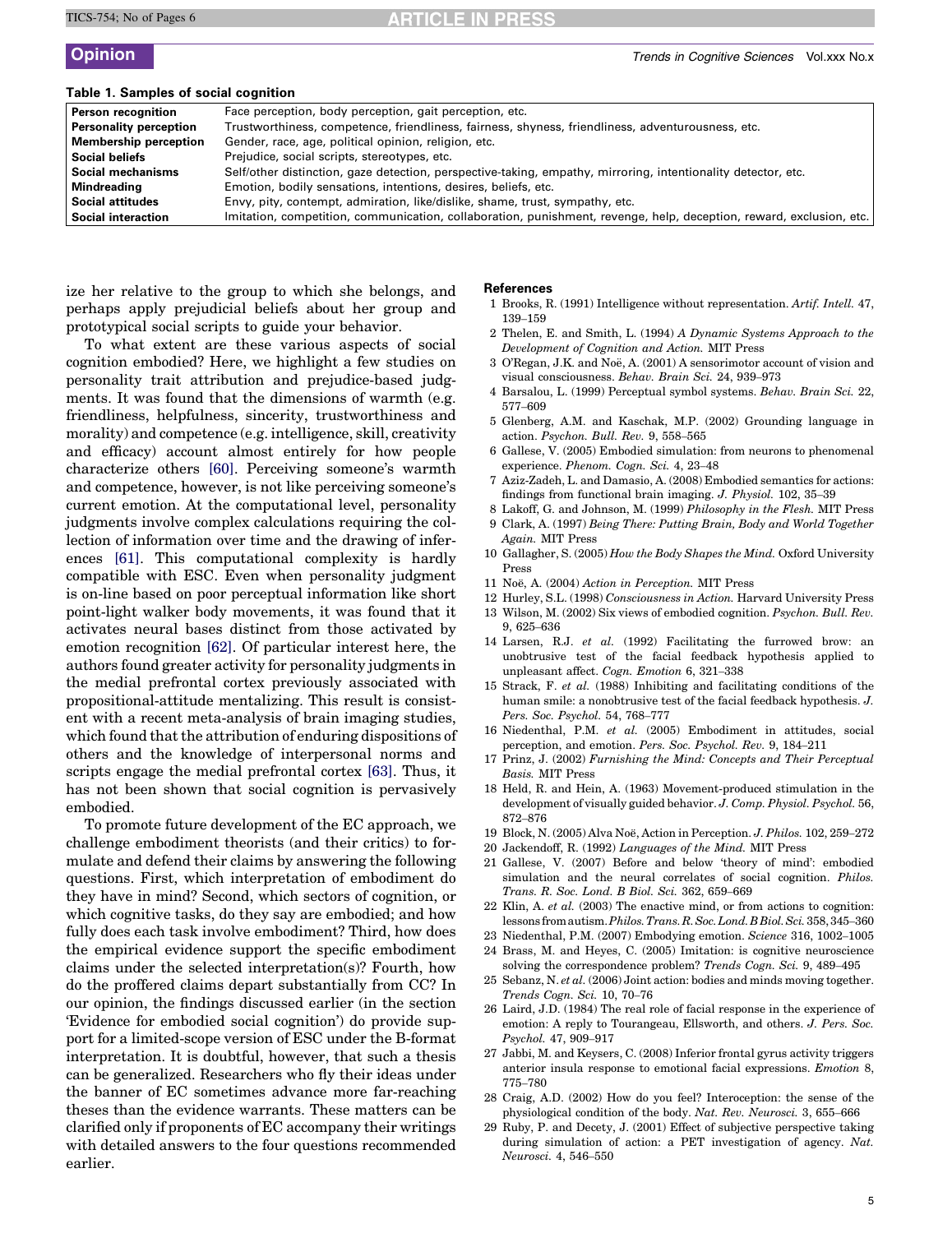<span id="page-4-0"></span>TICS-754; No of Pages 6

**ARTICLE IN PRESS** 

# Table 1. Samples of social cognition

| TUDIO II DUINDICO OI JOURN VOGHIRIONI |                                                                                                                     |
|---------------------------------------|---------------------------------------------------------------------------------------------------------------------|
| <b>Person recognition</b>             | Face perception, body perception, gait perception, etc.                                                             |
| <b>Personality perception</b>         | Trustworthiness, competence, friendliness, fairness, shyness, friendliness, adventurousness, etc.                   |
| <b>Membership perception</b>          | Gender, race, age, political opinion, religion, etc.                                                                |
| <b>Social beliefs</b>                 | Prejudice, social scripts, stereotypes, etc.                                                                        |
| Social mechanisms                     | Self/other distinction, gaze detection, perspective-taking, empathy, mirroring, intentionality detector, etc.       |
| Mindreading                           | Emotion, bodily sensations, intentions, desires, beliefs, etc.                                                      |
| <b>Social attitudes</b>               | Envy, pity, contempt, admiration, like/dislike, shame, trust, sympathy, etc.                                        |
| <b>Social interaction</b>             | Imitation, competition, communication, collaboration, punishment, revenge, help, deception, reward, exclusion, etc. |
|                                       |                                                                                                                     |

ize her relative to the group to which she belongs, and perhaps apply prejudicial beliefs about her group and prototypical social scripts to guide your behavior.

To what extent are these various aspects of social cognition embodied? Here, we highlight a few studies on personality trait attribution and prejudice-based judgments. It was found that the dimensions of warmth (e.g. friendliness, helpfulness, sincerity, trustworthiness and morality) and competence (e.g. intelligence, skill, creativity and efficacy) account almost entirely for how people characterize others [\[60\].](#page-5-0) Perceiving someone's warmth and competence, however, is not like perceiving someone's current emotion. At the computational level, personality judgments involve complex calculations requiring the collection of information over time and the drawing of inferences [\[61\]](#page-5-0). This computational complexity is hardly compatible with ESC. Even when personality judgment is on-line based on poor perceptual information like short point-light walker body movements, it was found that it activates neural bases distinct from those activated by emotion recognition [\[62\]](#page-5-0). Of particular interest here, the authors found greater activity for personality judgments in the medial prefrontal cortex previously associated with propositional-attitude mentalizing. This result is consistent with a recent meta-analysis of brain imaging studies, which found that the attribution of enduring dispositions of others and the knowledge of interpersonal norms and scripts engage the medial prefrontal cortex [\[63\].](#page-5-0) Thus, it has not been shown that social cognition is pervasively embodied.

To promote future development of the EC approach, we challenge embodiment theorists (and their critics) to formulate and defend their claims by answering the following questions. First, which interpretation of embodiment do they have in mind? Second, which sectors of cognition, or which cognitive tasks, do they say are embodied; and how fully does each task involve embodiment? Third, how does the empirical evidence support the specific embodiment claims under the selected interpretation(s)? Fourth, how do the proffered claims depart substantially from CC? In our opinion, the findings discussed earlier (in the section 'Evidence for embodied social cognition') do provide support for a limited-scope version of ESC under the B-format interpretation. It is doubtful, however, that such a thesis can be generalized. Researchers who fly their ideas under the banner of EC sometimes advance more far-reaching theses than the evidence warrants. These matters can be clarified only if proponents of EC accompany their writings with detailed answers to the four questions recommended earlier.

#### References

- 1 Brooks, R. (1991) Intelligence without representation. Artif. Intell. 47, 139–159
- 2 Thelen, E. and Smith, L. (1994) A Dynamic Systems Approach to the Development of Cognition and Action. MIT Press
- 3 O'Regan, J.K. and Noë, A. (2001) A sensorimotor account of vision and visual consciousness. Behav. Brain Sci. 24, 939–973
- 4 Barsalou, L. (1999) Perceptual symbol systems. Behav. Brain Sci. 22, 577–609
- 5 Glenberg, A.M. and Kaschak, M.P. (2002) Grounding language in action. Psychon. Bull. Rev. 9, 558–565
- 6 Gallese, V. (2005) Embodied simulation: from neurons to phenomenal experience. Phenom. Cogn. Sci. 4, 23–48
- 7 Aziz-Zadeh, L. and Damasio, A. (2008) Embodied semantics for actions: findings from functional brain imaging. J. Physiol. 102, 35–39
- 8 Lakoff, G. and Johnson, M. (1999) Philosophy in the Flesh. MIT Press 9 Clark, A. (1997) Being There: Putting Brain, Body and World Together Again. MIT Press
- 10 Gallagher, S. (2005) How the Body Shapes the Mind. Oxford University Press
- 11 Noë, A. (2004) Action in Perception. MIT Press
- 12 Hurley, S.L. (1998) Consciousness in Action. Harvard University Press
- 13 Wilson, M. (2002) Six views of embodied cognition. Psychon. Bull. Rev. 9, 625–636
- 14 Larsen, R.J. et al. (1992) Facilitating the furrowed brow: an unobtrusive test of the facial feedback hypothesis applied to unpleasant affect. Cogn. Emotion 6, 321–338
- 15 Strack, F. et al. (1988) Inhibiting and facilitating conditions of the human smile: a nonobtrusive test of the facial feedback hypothesis. J. Pers. Soc. Psychol. 54, 768–777
- 16 Niedenthal, P.M. et al. (2005) Embodiment in attitudes, social perception, and emotion. Pers. Soc. Psychol. Rev. 9, 184–211
- 17 Prinz, J. (2002) Furnishing the Mind: Concepts and Their Perceptual Basis. MIT Press
- 18 Held, R. and Hein, A. (1963) Movement-produced stimulation in the development of visually guided behavior. J. Comp. Physiol. Psychol. 56, 872–876
- 19 Block, N. (2005) Alva Noë, Action in Perception. J. Philos. 102, 259-272
- 20 Jackendoff, R. (1992) Languages of the Mind. MIT Press
- 21 Gallese, V. (2007) Before and below 'theory of mind': embodied simulation and the neural correlates of social cognition. Philos. Trans. R. Soc. Lond. B Biol. Sci. 362, 659–669
- 22 Klin, A. et al. (2003) The enactive mind, or from actions to cognition: lessons from autism.Philos.Trans.R.Soc.Lond.B Biol.Sci.358, 345–360
- 23 Niedenthal, P.M. (2007) Embodying emotion. Science 316, 1002–1005
- 24 Brass, M. and Heyes, C. (2005) Imitation: is cognitive neuroscience solving the correspondence problem? Trends Cogn. Sci. 9, 489–495
- 25 Sebanz, N. et al. (2006) Joint action: bodies and minds moving together. Trends Cogn. Sci. 10, 70–76
- 26 Laird, J.D. (1984) The real role of facial response in the experience of emotion: A reply to Tourangeau, Ellsworth, and others. J. Pers. Soc. Psychol. 47, 909–917
- 27 Jabbi, M. and Keysers, C. (2008) Inferior frontal gyrus activity triggers anterior insula response to emotional facial expressions. Emotion 8, 775–780
- 28 Craig, A.D. (2002) How do you feel? Interoception: the sense of the physiological condition of the body. Nat. Rev. Neurosci. 3, 655–666
- 29 Ruby, P. and Decety, J. (2001) Effect of subjective perspective taking during simulation of action: a PET investigation of agency. Nat. Neurosci. 4, 546–550